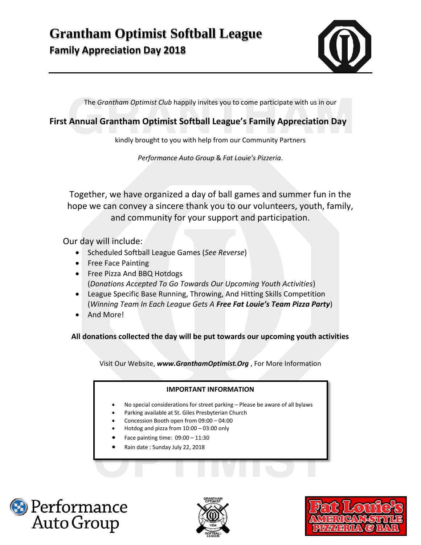## **Grantham Optimist Softball League Family Appreciation Day 2018**

The *Grantham Optimist Club* happily invites you to come participate with us in our

**First Annual Grantham Optimist Softball League's Family Appreciation Day**

kindly brought to you with help from our Community Partners

*Performance Auto Group* & *Fat Louie's Pizzeria*.

Together, we have organized a day of ball games and summer fun in the hope we can convey a sincere thank you to our volunteers, youth, family, and community for your support and participation.

Our day will include:

- Scheduled Softball League Games (*See Reverse*)
- Free Face Painting
- Free Pizza And BBQ Hotdogs (*Donations Accepted To Go Towards Our Upcoming Youth Activities*)
- League Specific Base Running, Throwing, And Hitting Skills Competition (*Winning Team In Each League Gets A Free Fat Louie's Team Pizza Party*)
- And More!

**All donations collected the day will be put towards our upcoming youth activities**

Visit Our Website, *www.GranthamOptimist.Org* , For More Information

## **IMPORTANT INFORMATION**

- No special considerations for street parking Please be aware of all bylaws
- Parking available at St. Giles Presbyterian Church
- Concession Booth open from 09:00 04:00
- Hotdog and pizza from 10:00 03:00 only
- Face painting time: 09:00 11:30
- Rain date : Sunday July 22, 2018